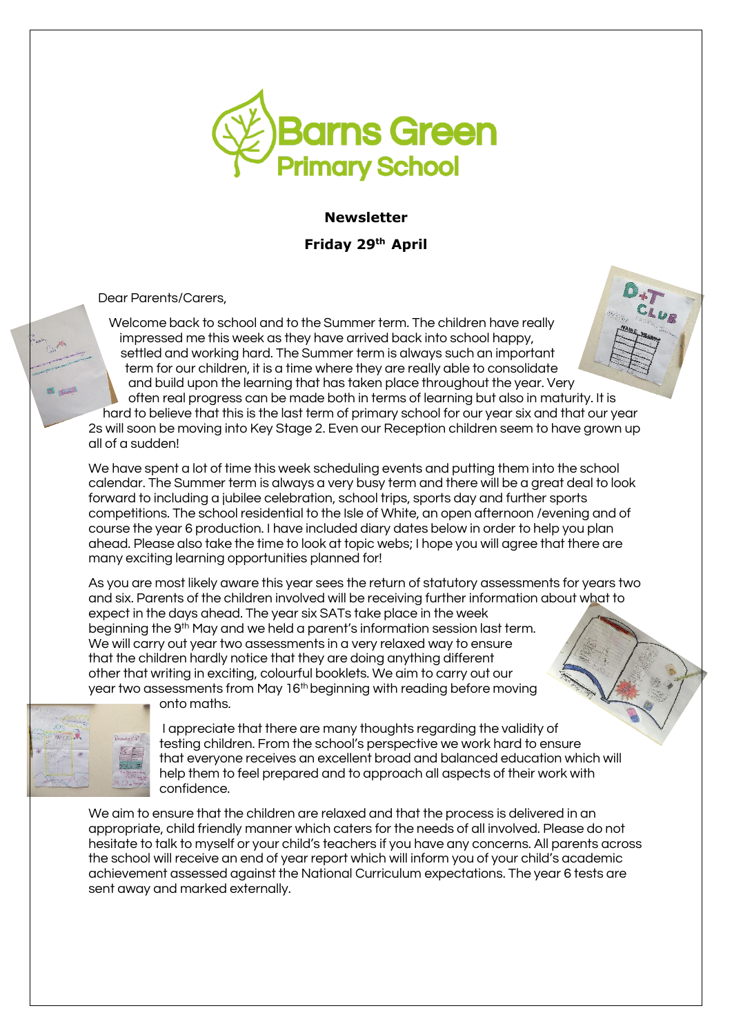

**Newsletter**

**Friday 29th April** 

Dear Parents/Carers,

Welcome back to school and to the Summer term. The children have really impressed me this week as they have arrived back into school happy, settled and working hard. The Summer term is always such an important term for our children, it is a time where they are really able to consolidate and build upon the learning that has taken place throughout the year. Very often real progress can be made both in terms of learning but also in maturity. It is hard to believe that this is the last term of primary school for our year six and that our year 2s will soon be moving into Key Stage 2. Even our Reception children seem to have grown up all of a sudden!

We have spent a lot of time this week scheduling events and putting them into the school calendar. The Summer term is always a very busy term and there will be a great deal to look forward to including a jubilee celebration, school trips, sports day and further sports competitions. The school residential to the Isle of White, an open afternoon /evening and of course the year 6 production. I have included diary dates below in order to help you plan ahead. Please also take the time to look at topic webs; I hope you will agree that there are many exciting learning opportunities planned for!

As you are most likely aware this year sees the return of statutory assessments for years two and six. Parents of the children involved will be receiving further information about what to expect in the days ahead. The year six SATs take place in the week beginning the 9th May and we held a parent's information session last term. We will carry out year two assessments in a very relaxed way to ensure that the children hardly notice that they are doing anything different other that writing in exciting, colourful booklets. We aim to carry out our year two assessments from May 16<sup>th</sup> beginning with reading before moving

onto maths.



I appreciate that there are many thoughts regarding the validity of testing children. From the school's perspective we work hard to ensure that everyone receives an excellent broad and balanced education which will help them to feel prepared and to approach all aspects of their work with confidence.

We aim to ensure that the children are relaxed and that the process is delivered in an appropriate, child friendly manner which caters for the needs of all involved. Please do not hesitate to talk to myself or your child's teachers if you have any concerns. All parents across the school will receive an end of year report which will inform you of your child's academic achievement assessed against the National Curriculum expectations. The year 6 tests are sent away and marked externally.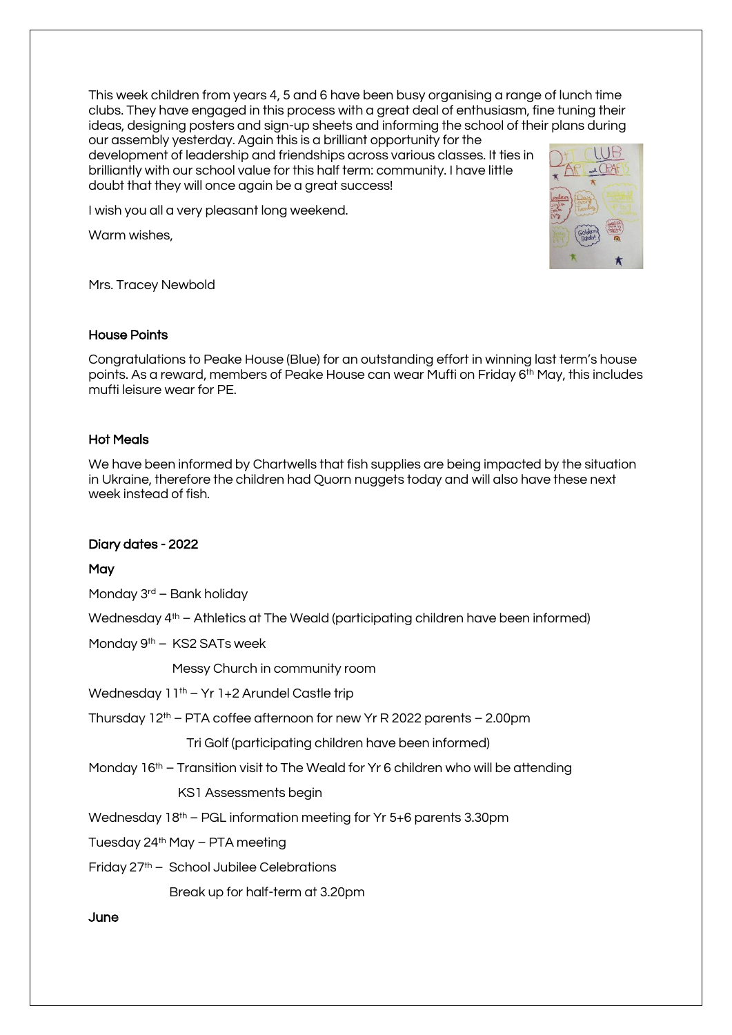This week children from years 4, 5 and 6 have been busy organising a range of lunch time clubs. They have engaged in this process with a great deal of enthusiasm, fine tuning their ideas, designing posters and sign-up sheets and informing the school of their plans during our assembly yesterday. Again this is a brilliant opportunity for the

development of leadership and friendships across various classes. It ties in brilliantly with our school value for this half term: community. I have little doubt that they will once again be a great success!

I wish you all a very pleasant long weekend.

Warm wishes,



Mrs. Tracey Newbold

### House Points

Congratulations to Peake House (Blue) for an outstanding effort in winning last term's house points. As a reward, members of Peake House can wear Mufti on Friday 6<sup>th</sup> May, this includes mufti leisure wear for PE.

# Hot Meals

We have been informed by Chartwells that fish supplies are being impacted by the situation in Ukraine, therefore the children had Quorn nuggets today and will also have these next week instead of fish.

# Diary dates - 2022

# **May**

Monday 3rd – Bank holiday

Wednesday 4<sup>th</sup> – Athletics at The Weald (participating children have been informed)

Monday 9<sup>th</sup> - KS2 SATs week

Messy Church in community room

Wednesday 11<sup>th</sup> – Yr 1+2 Arundel Castle trip

Thursday  $12<sup>th</sup>$  – PTA coffee afternoon for new Yr R 2022 parents – 2.00pm

Tri Golf (participating children have been informed)

Monday  $16<sup>th</sup>$  – Transition visit to The Weald for Yr 6 children who will be attending

KS1 Assessments begin

Wednesday 18<sup>th</sup> – PGL information meeting for Yr 5+6 parents 3.30pm

Tuesday 24th May – PTA meeting

Friday 27th – School Jubilee Celebrations

Break up for half-term at 3.20pm

### June